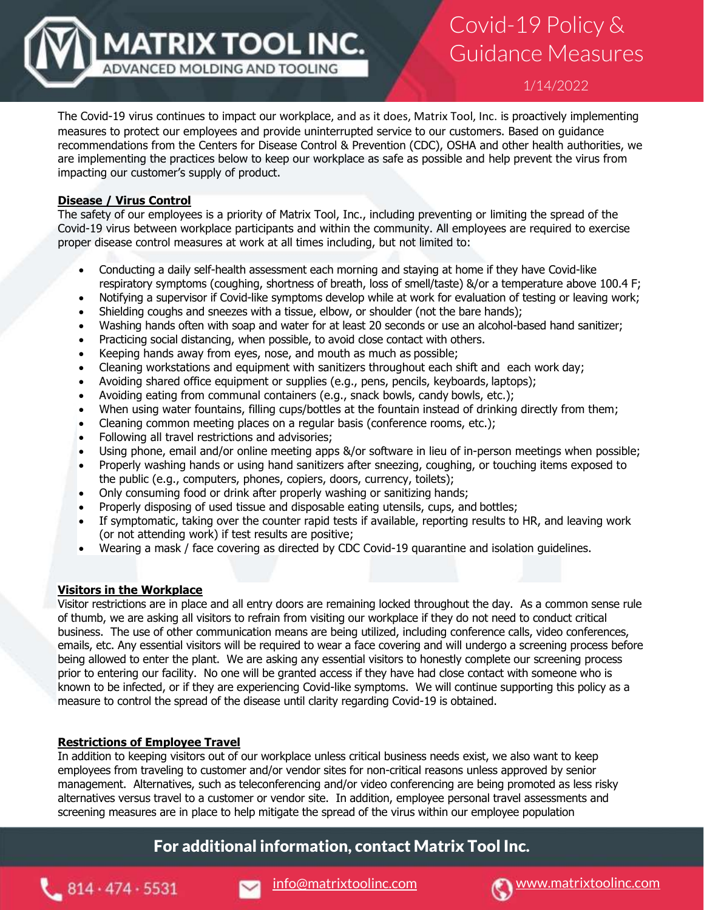1/14/2022

Guidance Measures

Covid-19 Policy &

The Covid-19 virus continues to impact our workplace, and as it does, Matrix Tool, Inc. is proactively implementing measures to protect our employees and provide uninterrupted service to our customers. Based on guidance recommendations from the Centers for Disease Control & Prevention (CDC), OSHA and other health authorities, we are implementing the practices below to keep our workplace as safe as possible and help prevent the virus from impacting our customer's supply of product.

### **Disease / Virus Control**

The safety of our employees is a priority of Matrix Tool, Inc., including preventing or limiting the spread of the Covid-19 virus between workplace participants and within the community. All employees are required to exercise proper disease control measures at work at all times including, but not limited to:

- Conducting a daily self-health assessment each morning and staying at home if they have Covid-like respiratory symptoms (coughing, shortness of breath, loss of smell/taste) &/or a temperature above 100.4 F;
- Notifying a supervisor if Covid-like symptoms develop while at work for evaluation of testing or leaving work;
- Shielding coughs and sneezes with a tissue, elbow, or shoulder (not the bare hands);
- Washing hands often with soap and water for at least 20 seconds or use an alcohol-based hand sanitizer;
- Practicing social distancing, when possible, to avoid close contact with others.
- Keeping hands away from eyes, nose, and mouth as much as possible;

**MATRIX TOOL INC.** 

ADVANCED MOLDING AND TOOLING

- Cleaning workstations and equipment with sanitizers throughout each shift and each work day;
- Avoiding shared office equipment or supplies (e.g., pens, pencils, keyboards, laptops);
- Avoiding eating from communal containers (e.g., snack bowls, candy bowls, etc.);
- When using water fountains, filling cups/bottles at the fountain instead of drinking directly from them;
- Cleaning common meeting places on a regular basis (conference rooms, etc.);
- Following all travel restrictions and advisories;
- Using phone, email and/or online meeting apps &/or software in lieu of in-person meetings when possible;
- Properly washing hands or using hand sanitizers after sneezing, coughing, or touching items exposed to the public (e.g., computers, phones, copiers, doors, currency, toilets);
- Only consuming food or drink after properly washing or sanitizing hands;
- Properly disposing of used tissue and disposable eating utensils, cups, and bottles;
- If symptomatic, taking over the counter rapid tests if available, reporting results to HR, and leaving work (or not attending work) if test results are positive;
- Wearing a mask / face covering as directed by CDC Covid-19 quarantine and isolation guidelines.

#### **Visitors in the Workplace**

Visitor restrictions are in place and all entry doors are remaining locked throughout the day. As a common sense rule of thumb, we are asking all visitors to refrain from visiting our workplace if they do not need to conduct critical business. The use of other communication means are being utilized, including conference calls, video conferences, emails, etc. Any essential visitors will be required to wear a face covering and will undergo a screening process before being allowed to enter the plant. We are asking any essential visitors to honestly complete our screening process prior to entering our facility. No one will be granted access if they have had close contact with someone who is known to be infected, or if they are experiencing Covid-like symptoms. We will continue supporting this policy as a measure to control the spread of the disease until clarity regarding Covid-19 is obtained.

### **Restrictions of Employee Travel**

In addition to keeping visitors out of our workplace unless critical business needs exist, we also want to keep employees from traveling to customer and/or vendor sites for non-critical reasons unless approved by senior management. Alternatives, such as teleconferencing and/or video conferencing are being promoted as less risky alternatives versus travel to a customer or vendor site. In addition, employee personal travel assessments and screening measures are in place to help mitigate the spread of the virus within our employee population

## For additional information, contact Matrix Tool Inc.